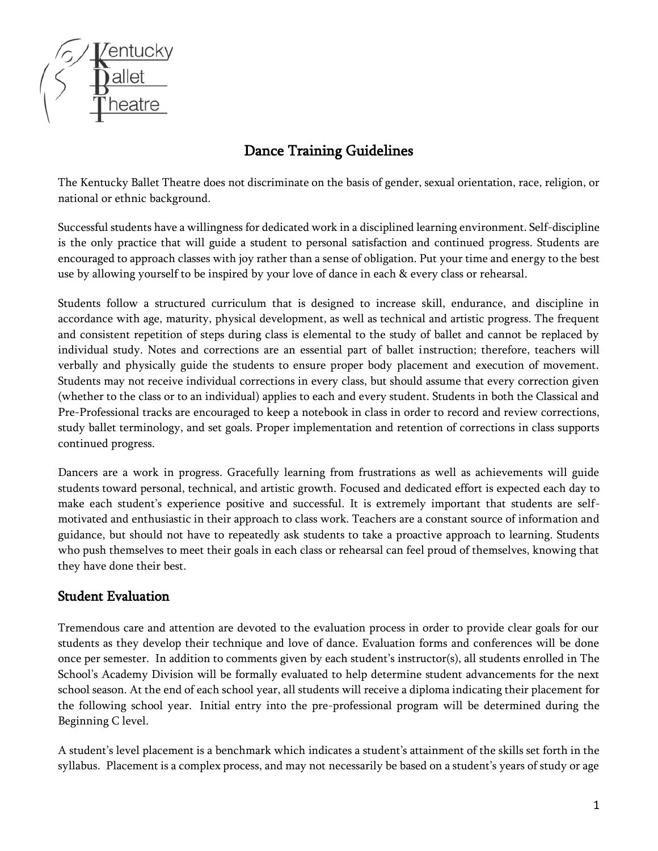

# Dance Training Guidelines

The Kentucky Ballet Theatre does not discriminate on the basis of gender, sexual orientation, race, religion, or national or ethnic background.

Successful students have a willingness for dedicated work in a disciplined learning environment. Self-discipline is the only practice that will guide a student to personal satisfaction and continued progress. Students are encouraged to approach classes with joy rather than a sense of obligation. Put your time and energy to the best use by allowing yourself to be inspired by your love of dance in each & every class or rehearsal.

Students follow a structured curriculum that is designed to increase skill, endurance, and discipline in accordance with age, maturity, physical development, as well as technical and artistic progress. The frequent and consistent repetition of steps during class is elemental to the study of ballet and cannot be replaced by individual study. Notes and corrections are an essential part of ballet instruction; therefore, teachers will verbally and physically guide the students to ensure proper body placement and execution of movement. Students may not receive individual corrections in every class, but should assume that every correction given (whether to the class or to an individual) applies to each and every student. Students in both the Classical and Pre-Professional tracks are encouraged to keep a notebook in class in order to record and review corrections, study ballet terminology, and set goals. Proper implementation and retention of corrections in class supports continued progress.

Dancers are a work in progress. Gracefully learning from frustrations as well as achievements will guide students toward personal, technical, and artistic growth. Focused and dedicated effort is expected each day to make each student's experience positive and successful. It is extremely important that students are selfmotivated and enthusiastic in their approach to class work. Teachers are a constant source of information and guidance, but should not have to repeatedly ask students to take a proactive approach to learning. Students who push themselves to meet their goals in each class or rehearsal can feel proud of themselves, knowing that they have done their best.

#### Student Evaluation

Tremendous care and attention are devoted to the evaluation process in order to provide clear goals for our students as they develop their technique and love of dance. Evaluation forms and conferences will be done once per semester. In addition to comments given by each student's instructor(s), all students enrolled in The School's Academy Division will be formally evaluated to help determine student advancements for the next school season. At the end of each school year, all students will receive a diploma indicating their placement for the following school year. Initial entry into the pre-professional program will be determined during the Beginning C level.

A student's level placement is a benchmark which indicates a student's attainment of the skills set forth in the syllabus. Placement is a complex process, and may not necessarily be based on a student's years of study or age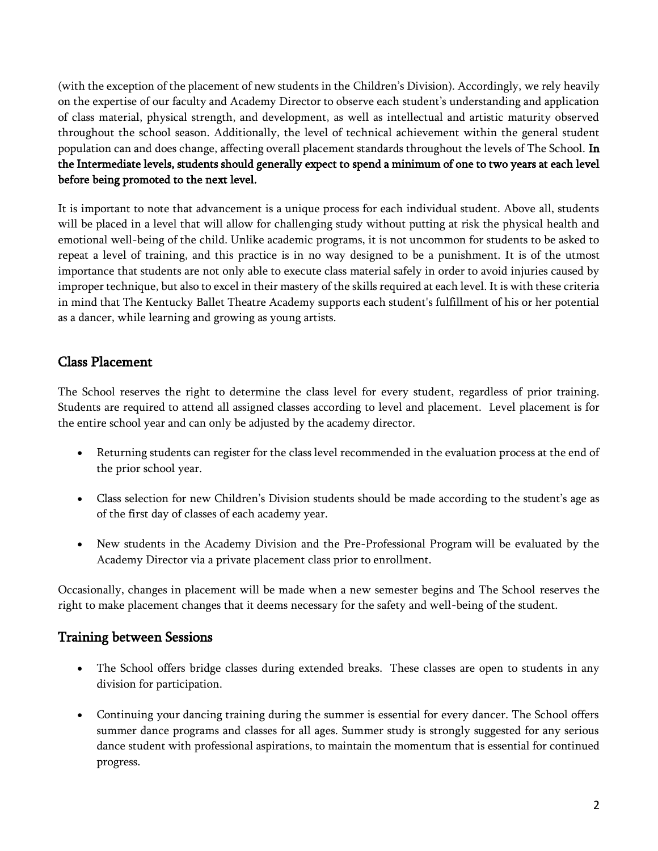(with the exception of the placement of new students in the Children's Division). Accordingly, we rely heavily on the expertise of our faculty and Academy Director to observe each student's understanding and application of class material, physical strength, and development, as well as intellectual and artistic maturity observed throughout the school season. Additionally, the level of technical achievement within the general student population can and does change, affecting overall placement standards throughout the levels of The School. In the Intermediate levels, students should generally expect to spend a minimum of one to two years at each level before being promoted to the next level.

It is important to note that advancement is a unique process for each individual student. Above all, students will be placed in a level that will allow for challenging study without putting at risk the physical health and emotional well-being of the child. Unlike academic programs, it is not uncommon for students to be asked to repeat a level of training, and this practice is in no way designed to be a punishment. It is of the utmost importance that students are not only able to execute class material safely in order to avoid injuries caused by improper technique, but also to excel in their mastery of the skills required at each level. It is with these criteria in mind that The Kentucky Ballet Theatre Academy supports each student's fulfillment of his or her potential as a dancer, while learning and growing as young artists.

### Class Placement

The School reserves the right to determine the class level for every student, regardless of prior training. Students are required to attend all assigned classes according to level and placement. Level placement is for the entire school year and can only be adjusted by the academy director.

- Returning students can register for the class level recommended in the evaluation process at the end of the prior school year.
- Class selection for new Children's Division students should be made according to the student's age as of the first day of classes of each academy year.
- New students in the Academy Division and the Pre-Professional Program will be evaluated by the Academy Director via a private placement class prior to enrollment.

Occasionally, changes in placement will be made when a new semester begins and The School reserves the right to make placement changes that it deems necessary for the safety and well-being of the student.

#### Training between Sessions

- The School offers bridge classes during extended breaks. These classes are open to students in any division for participation.
- Continuing your dancing training during the summer is essential for every dancer. The School offers summer dance programs and classes for all ages. Summer study is strongly suggested for any serious dance student with professional aspirations, to maintain the momentum that is essential for continued progress.